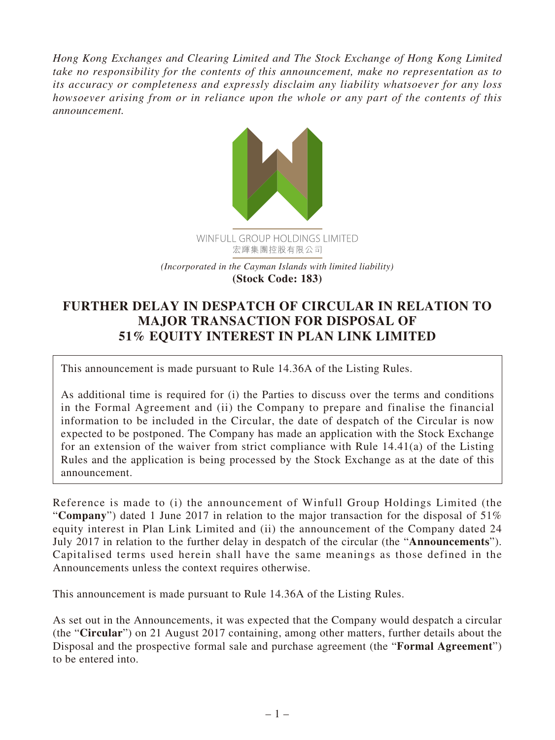*Hong Kong Exchanges and Clearing Limited and The Stock Exchange of Hong Kong Limited take no responsibility for the contents of this announcement, make no representation as to its accuracy or completeness and expressly disclaim any liability whatsoever for any loss howsoever arising from or in reliance upon the whole or any part of the contents of this announcement.*



## **FURTHER DELAY IN DESPATCH OF CIRCULAR IN RELATION TO MAJOR TRANSACTION FOR DISPOSAL OF 51% EQUITY INTEREST IN PLAN LINK LIMITED**

This announcement is made pursuant to Rule 14.36A of the Listing Rules.

As additional time is required for (i) the Parties to discuss over the terms and conditions in the Formal Agreement and (ii) the Company to prepare and finalise the financial information to be included in the Circular, the date of despatch of the Circular is now expected to be postponed. The Company has made an application with the Stock Exchange for an extension of the waiver from strict compliance with Rule 14.41(a) of the Listing Rules and the application is being processed by the Stock Exchange as at the date of this announcement.

Reference is made to (i) the announcement of Winfull Group Holdings Limited (the "**Company**") dated 1 June 2017 in relation to the major transaction for the disposal of 51% equity interest in Plan Link Limited and (ii) the announcement of the Company dated 24 July 2017 in relation to the further delay in despatch of the circular (the "**Announcements**"). Capitalised terms used herein shall have the same meanings as those defined in the Announcements unless the context requires otherwise.

This announcement is made pursuant to Rule 14.36A of the Listing Rules.

As set out in the Announcements, it was expected that the Company would despatch a circular (the "**Circular**") on 21 August 2017 containing, among other matters, further details about the Disposal and the prospective formal sale and purchase agreement (the "**Formal Agreement**") to be entered into.